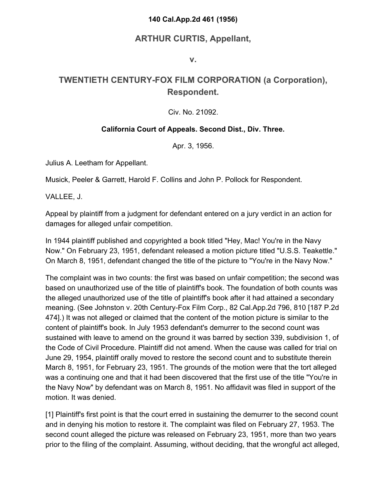### **140 Cal.App.2d 461 (1956)**

## **ARTHUR CURTIS, Appellant,**

**v.**

# **TWENTIETH CENTURY-FOX FILM CORPORATION (a Corporation), Respondent.**

### Civ. No. 21092.

### **California Court of Appeals. Second Dist., Div. Three.**

Apr. 3, 1956.

Julius A. Leetham for Appellant.

Musick, Peeler & Garrett, Harold F. Collins and John P. Pollock for Respondent.

VALLEE, J.

Appeal by plaintiff from a judgment for defendant entered on a jury verdict in an action for damages for alleged unfair competition.

In 1944 plaintiff published and copyrighted a book titled "Hey, Mac! You're in the Navy Now." On February 23, 1951, defendant released a motion picture titled "U.S.S. Teakettle." On March 8, 1951, defendant changed the title of the picture to "You're in the Navy Now."

The complaint was in two counts: the first was based on unfair competition; the second was based on unauthorized use of the title of plaintiff's book. The foundation of both counts was the alleged unauthorized use of the title of plaintiff's book after it had attained a secondary meaning. (See Johnston v. 20th Century-Fox Film Corp., 82 Cal.App.2d 796, 810 [187 P.2d 474].) It was not alleged or claimed that the content of the motion picture is similar to the content of plaintiff's book. In July 1953 defendant's demurrer to the second count was sustained with leave to amend on the ground it was barred by section 339, subdivision 1, of the Code of Civil Procedure. Plaintiff did not amend. When the cause was called for trial on June 29, 1954, plaintiff orally moved to restore the second count and to substitute therein March 8, 1951, for February 23, 1951. The grounds of the motion were that the tort alleged was a continuing one and that it had been discovered that the first use of the title "You're in the Navy Now" by defendant was on March 8, 1951. No affidavit was filed in support of the motion. It was denied.

[1] Plaintiff's first point is that the court erred in sustaining the demurrer to the second count and in denying his motion to restore it. The complaint was filed on February 27, 1953. The second count alleged the picture was released on February 23, 1951, more than two years prior to the filing of the complaint. Assuming, without deciding, that the wrongful act alleged,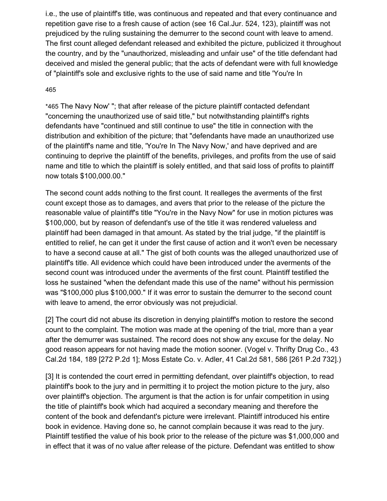i.e., the use of plaintiff's title, was continuous and repeated and that every continuance and repetition gave rise to a fresh cause of action (see 16 Cal.Jur. 524, 123), plaintiff was not prejudiced by the ruling sustaining the demurrer to the second count with leave to amend. The first count alleged defendant released and exhibited the picture, publicized it throughout the country, and by the "unauthorized, misleading and unfair use" of the title defendant had deceived and misled the general public; that the acts of defendant were with full knowledge of "plaintiff's sole and exclusive rights to the use of said name and title 'You're In

#### 46[5](https://scholar.google.com/scholar_case?case=17496851785661628421&q=Twentieth+Century+Fox+Film+Corporation&hl=en&as_sdt=6,33#p465)

\*465 The Navy Now' "; that after release of the picture plaintiff contacted defendant "concerning the unauthorized use of said title," but notwithstanding plaintiff's rights defendants have "continued and still continue to use" the title in connection with the distribution and exhibition of the picture; that "defendants have made an unauthorized use of the plaintiff's name and title, 'You're In The Navy Now,' and have deprived and are continuing to deprive the plaintiff of the benefits, privileges, and profits from the use of said name and title to which the plaintiff is solely entitled, and that said loss of profits to plaintiff now totals \$100,000.00."

The second count adds nothing to the first count. It realleges the averments of the first count except those as to damages, and avers that prior to the release of the picture the reasonable value of plaintiff's title "You're in the Navy Now" for use in motion pictures was \$100,000, but by reason of defendant's use of the title it was rendered valueless and plaintiff had been damaged in that amount. As stated by the trial judge, "if the plaintiff is entitled to relief, he can get it under the first cause of action and it won't even be necessary to have a second cause at all." The gist of both counts was the alleged unauthorized use of plaintiff's title. All evidence which could have been introduced under the averments of the second count was introduced under the averments of the first count. Plaintiff testified the loss he sustained "when the defendant made this use of the name" without his permission was "\$100,000 plus \$100,000." If it was error to sustain the demurrer to the second count with leave to amend, the error obviously was not prejudicial.

[2] The court did not abuse its discretion in denying plaintiff's motion to restore the second count to the complaint. The motion was made at the opening of the trial, more than a year after the demurrer was sustained. The record does not show any excuse for the delay. No good reason appears for not having made the motion sooner. (Vogel v. Thrifty Drug Co., 43 Cal.2d 184, 189 [272 P.2d 1]; Moss Estate Co. v. Adler, 41 Cal.2d 581, 586 [261 P.2d 732].)

[3] It is contended the court erred in permitting defendant, over plaintiff's objection, to read plaintiff's book to the jury and in permitting it to project the motion picture to the jury, also over plaintiff's objection. The argument is that the action is for unfair competition in using the title of plaintiff's book which had acquired a secondary meaning and therefore the content of the book and defendant's picture were irrelevant. Plaintiff introduced his entire book in evidence. Having done so, he cannot complain because it was read to the jury. Plaintiff testified the value of his book prior to the release of the picture was \$1,000,000 and in effect that it was of no value after release of the picture. Defendant was entitled to show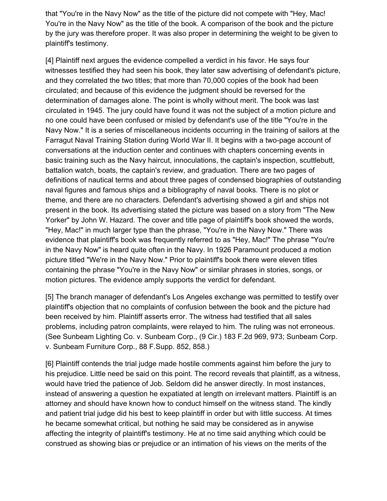that "You're in the Navy Now" as the title of the picture did not compete with "Hey, Mac! You're in the Navy Now" as the title of the book. A comparison of the book and the picture by the jury was therefore proper. It was also proper in determining the weight to be given to plaintiff's testimony.

[4] Plaintiff next argues the evidence compelled a verdict in his favor. He says four witnesses testified they had seen his book, they later saw advertising of defendant's picture, and they correlated the two titles; that more than 70,000 copies of the book had been circulated; and because of this evidence the judgment should be reversed for the determination of damages alone. The point is wholly without merit. The book was last circulated in 1945. The jury could have found it was not the subject of a motion picture and no one could have been confused or misled by defendant's use of the title "You're in the Navy Now." It is a series of miscellaneous incidents occurring in the training of sailors at the Farragut Naval Training Station during World War II. It begins with a two-page account of conversations at the induction center and continues with chapters concerning events in basic training such as the Navy haircut, innoculations, the captain's inspection, scuttlebutt, battalion watch, boats, the captain's review, and graduation. There are two pages of definitions of nautical terms and about three pages of condensed biographies of outstanding naval figures and famous ships and a bibliography of naval books. There is no plot or theme, and there are no characters. Defendant's advertising showed a girl and ships not present in the book. Its advertising stated the picture was based on a story from "The New Yorker" by John W. Hazard. The cover and title page of plaintiff's book showed the words, "Hey, Mac!" in much larger type than the phrase, "You're in the Navy Now." There was evidence that plaintiff's book was frequently referred to as "Hey, Mac!" The phrase "You're in the Navy Now" is heard quite often in the Navy. In 1926 Paramount produced a motion picture titled "We're in the Navy Now." Prior to plaintiff's book there were eleven titles containing the phrase "You're in the Navy Now" or similar phrases in stories, songs, or motion pictures. The evidence amply supports the verdict for defendant.

[5] The branch manager of defendant's Los Angeles exchange was permitted to testify over plaintiff's objection that no complaints of confusion between the book and the picture had been received by him. Plaintiff asserts error. The witness had testified that all sales problems, including patron complaints, were relayed to him. The ruling was not erroneous. (See Sunbeam Lighting Co. v. Sunbeam Corp., (9 Cir.) 183 F.2d 969, 973; Sunbeam Corp. v. Sunbeam Furniture Corp., 88 F.Supp. 852, 858.)

[6] Plaintiff contends the trial judge made hostile comments against him before the jury to his prejudice. Little need be said on this point. The record reveals that plaintiff, as a witness, would have tried the patience of Job. Seldom did he answer directly. In most instances, instead of answering a question he expatiated at length on irrelevant matters. Plaintiff is an attorney and should have known how to conduct himself on the witness stand. The kindly and patient trial judge did his best to keep plaintiff in order but with little success. At times he became somewhat critical, but nothing he said may be considered as in anywise affecting the integrity of plaintiff's testimony. He at no time said anything which could be construed as showing bias or prejudice or an intimation of his views on the merits of the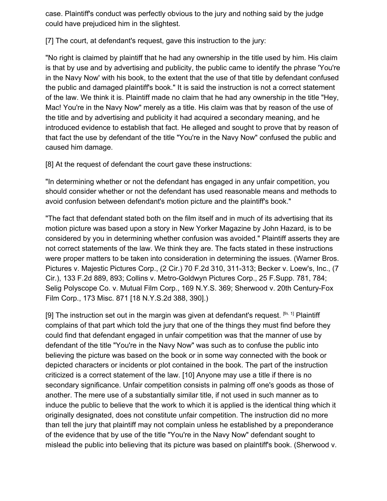case. Plaintiff's conduct was perfectly obvious to the jury and nothing said by the judge could have prejudiced him in the slightest.

[7] The court, at defendant's request, gave this instruction to the jury:

"No right is claimed by plaintiff that he had any ownership in the title used by him. His claim is that by use and by advertising and publicity, the public came to identify the phrase 'You're in the Navy Now' with his book, to the extent that the use of that title by defendant confused the public and damaged plaintiff's book." It is said the instruction is not a correct statement of the law. We think it is. Plaintiff made no claim that he had any ownership in the title "Hey, Mac! You're in the Navy Now" merely as a title. His claim was that by reason of the use of the title and by advertising and publicity it had acquired a secondary meaning, and he introduced evidence to establish that fact. He alleged and sought to prove that by reason of that fact the use by defendant of the title "You're in the Navy Now" confused the public and caused him damage.

[8] At the request of defendant the court gave these instructions:

"In determining whether or not the defendant has engaged in any unfair competition, you should consider whether or not the defendant has used reasonable means and methods to avoid confusion between defendant's motion picture and the plaintiff's book."

"The fact that defendant stated both on the film itself and in much of its advertising that its motion picture was based upon a story in New Yorker Magazine by John Hazard, is to be considered by you in determining whether confusion was avoided." Plaintiff asserts they are not correct statements of the law. We think they are. The facts stated in these instructions were proper matters to be taken into consideration in determining the issues. (Warner Bros. Pictures v. Majestic Pictures Corp., (2 Cir.) 70 F.2d 310, 311-313; Becker v. Loew's, Inc., (7 Cir.), 133 F.2d 889, 893; Collins v. Metro-Goldwyn Pictures Corp., 25 F.Supp. 781, 784; Selig Polyscope Co. v. Mutual Film Corp., 169 N.Y.S. 369; Sherwood v. 20th Century-Fox Film Corp., 173 Misc. 871 [18 N.Y.S.2d 388, 390].)

[9] The instruction set out in the margin was given at defendant's request.  $[fn. 1]$  Plaintiff complains of that part which told the jury that one of the things they must find before they could find that defendant engaged in unfair competition was that the manner of use by defendant of the title "You're in the Navy Now" was such as to confuse the public into believing the picture was based on the book or in some way connected with the book or depicted characters or incidents or plot contained in the book. The part of the instruction criticized is a correct statement of the law. [10] Anyone may use a title if there is no secondary significance. Unfair competition consists in palming off one's goods as those of another. The mere use of a substantially similar title, if not used in such manner as to induce the public to believe that the work to which it is applied is the identical thing which it originally designated, does not constitute unfair competition. The instruction did no more than tell the jury that plaintiff may not complain unless he established by a preponderance of the evidence that by use of the title "You're in the Navy Now" defendant sought to mislead the public into believing that its picture was based on plaintiff's book. (Sherwood v.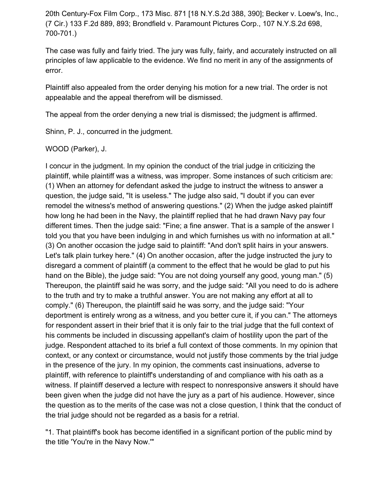20th Century-Fox Film Corp., 173 Misc. 871 [18 N.Y.S.2d 388, 390]; Becker v. Loew's, Inc., (7 Cir.) 133 F.2d 889, 893; Brondfield v. Paramount Pictures Corp., 107 N.Y.S.2d 698, 700-701.)

The case was fully and fairly tried. The jury was fully, fairly, and accurately instructed on all principles of law applicable to the evidence. We find no merit in any of the assignments of error.

Plaintiff also appealed from the order denying his motion for a new trial. The order is not appealable and the appeal therefrom will be dismissed.

The appeal from the order denying a new trial is dismissed; the judgment is affirmed.

Shinn, P. J., concurred in the judgment.

WOOD (Parker), J.

I concur in the judgment. In my opinion the conduct of the trial judge in criticizing the plaintiff, while plaintiff was a witness, was improper. Some instances of such criticism are: (1) When an attorney for defendant asked the judge to instruct the witness to answer a question, the judge said, "It is useless." The judge also said, "I doubt if you can ever remodel the witness's method of answering questions." (2) When the judge asked plaintiff how long he had been in the Navy, the plaintiff replied that he had drawn Navy pay four different times. Then the judge said: "Fine; a fine answer. That is a sample of the answer I told you that you have been indulging in and which furnishes us with no information at all." (3) On another occasion the judge said to plaintiff: "And don't split hairs in your answers. Let's talk plain turkey here." (4) On another occasion, after the judge instructed the jury to disregard a comment of plaintiff (a comment to the effect that he would be glad to put his hand on the Bible), the judge said: "You are not doing yourself any good, young man." (5) Thereupon, the plaintiff said he was sorry, and the judge said: "All you need to do is adhere to the truth and try to make a truthful answer. You are not making any effort at all to comply." (6) Thereupon, the plaintiff said he was sorry, and the judge said: "Your deportment is entirely wrong as a witness, and you better cure it, if you can." The attorneys for respondent assert in their brief that it is only fair to the trial judge that the full context of his comments be included in discussing appellant's claim of hostility upon the part of the judge. Respondent attached to its brief a full context of those comments. In my opinion that context, or any context or circumstance, would not justify those comments by the trial judge in the presence of the jury. In my opinion, the comments cast insinuations, adverse to plaintiff, with reference to plaintiff's understanding of and compliance with his oath as a witness. If plaintiff deserved a lecture with respect to nonresponsive answers it should have been given when the judge did not have the jury as a part of his audience. However, since the question as to the merits of the case was not a close question, I think that the conduct of the trial judge should not be regarded as a basis for a retrial.

"1. That plaintiff's book has become identified in a significant portion of the public mind by the title 'You're in the Navy Now.'"